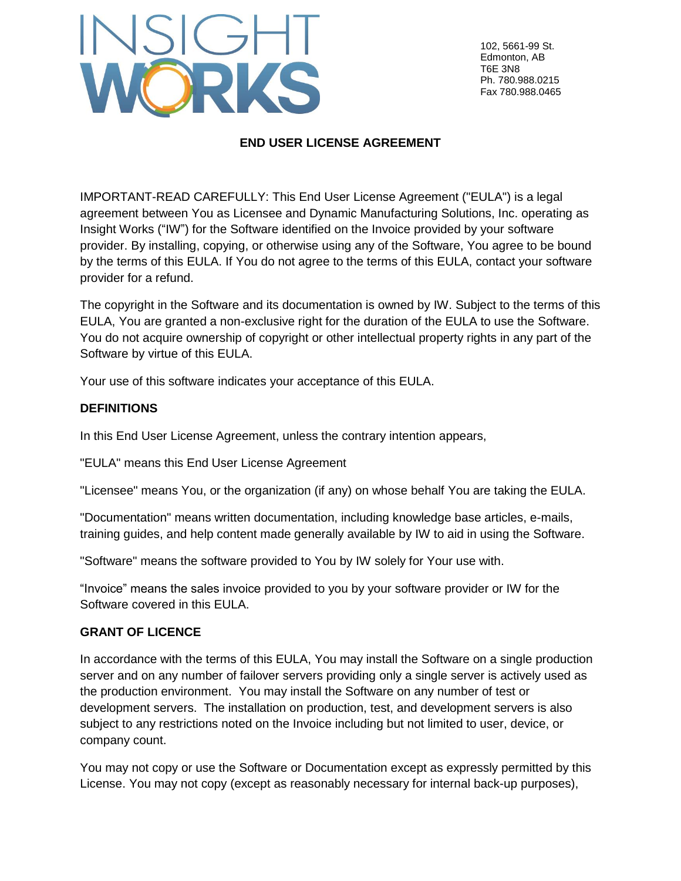

102, 5661-99 St. Edmonton, AB T6E 3N8 Ph. 780.988.0215 Fax 780.988.0465

# **END USER LICENSE AGREEMENT**

IMPORTANT-READ CAREFULLY: This End User License Agreement ("EULA") is a legal agreement between You as Licensee and Dynamic Manufacturing Solutions, Inc. operating as Insight Works ("IW") for the Software identified on the Invoice provided by your software provider. By installing, copying, or otherwise using any of the Software, You agree to be bound by the terms of this EULA. If You do not agree to the terms of this EULA, contact your software provider for a refund.

The copyright in the Software and its documentation is owned by IW. Subject to the terms of this EULA, You are granted a non-exclusive right for the duration of the EULA to use the Software. You do not acquire ownership of copyright or other intellectual property rights in any part of the Software by virtue of this EULA.

Your use of this software indicates your acceptance of this EULA.

### **DEFINITIONS**

In this End User License Agreement, unless the contrary intention appears,

"EULA" means this End User License Agreement

"Licensee" means You, or the organization (if any) on whose behalf You are taking the EULA.

"Documentation" means written documentation, including knowledge base articles, e-mails, training guides, and help content made generally available by IW to aid in using the Software.

"Software" means the software provided to You by IW solely for Your use with.

"Invoice" means the sales invoice provided to you by your software provider or IW for the Software covered in this EULA.

### **GRANT OF LICENCE**

In accordance with the terms of this EULA, You may install the Software on a single production server and on any number of failover servers providing only a single server is actively used as the production environment. You may install the Software on any number of test or development servers. The installation on production, test, and development servers is also subject to any restrictions noted on the Invoice including but not limited to user, device, or company count.

You may not copy or use the Software or Documentation except as expressly permitted by this License. You may not copy (except as reasonably necessary for internal back-up purposes),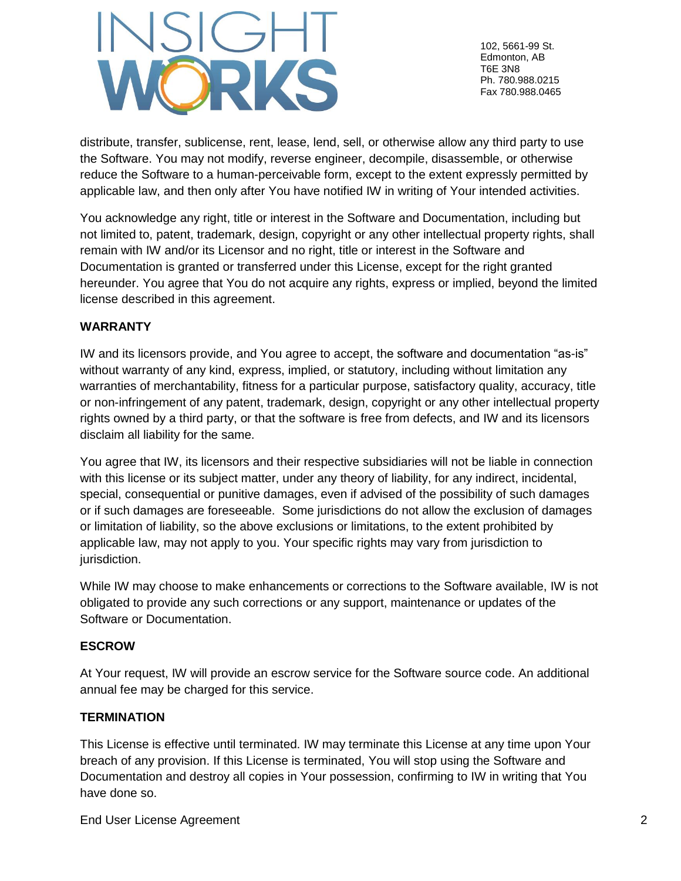

102, 5661-99 St. Edmonton, AB T6E 3N8 Ph. 780.988.0215 Fax 780.988.0465

distribute, transfer, sublicense, rent, lease, lend, sell, or otherwise allow any third party to use the Software. You may not modify, reverse engineer, decompile, disassemble, or otherwise reduce the Software to a human-perceivable form, except to the extent expressly permitted by applicable law, and then only after You have notified IW in writing of Your intended activities.

You acknowledge any right, title or interest in the Software and Documentation, including but not limited to, patent, trademark, design, copyright or any other intellectual property rights, shall remain with IW and/or its Licensor and no right, title or interest in the Software and Documentation is granted or transferred under this License, except for the right granted hereunder. You agree that You do not acquire any rights, express or implied, beyond the limited license described in this agreement.

## **WARRANTY**

IW and its licensors provide, and You agree to accept, the software and documentation "as-is" without warranty of any kind, express, implied, or statutory, including without limitation any warranties of merchantability, fitness for a particular purpose, satisfactory quality, accuracy, title or non-infringement of any patent, trademark, design, copyright or any other intellectual property rights owned by a third party, or that the software is free from defects, and IW and its licensors disclaim all liability for the same.

You agree that IW, its licensors and their respective subsidiaries will not be liable in connection with this license or its subject matter, under any theory of liability, for any indirect, incidental, special, consequential or punitive damages, even if advised of the possibility of such damages or if such damages are foreseeable. Some jurisdictions do not allow the exclusion of damages or limitation of liability, so the above exclusions or limitations, to the extent prohibited by applicable law, may not apply to you. Your specific rights may vary from jurisdiction to jurisdiction.

While IW may choose to make enhancements or corrections to the Software available, IW is not obligated to provide any such corrections or any support, maintenance or updates of the Software or Documentation.

### **ESCROW**

At Your request, IW will provide an escrow service for the Software source code. An additional annual fee may be charged for this service.

### **TERMINATION**

This License is effective until terminated. IW may terminate this License at any time upon Your breach of any provision. If this License is terminated, You will stop using the Software and Documentation and destroy all copies in Your possession, confirming to IW in writing that You have done so.

End User License Agreement 2